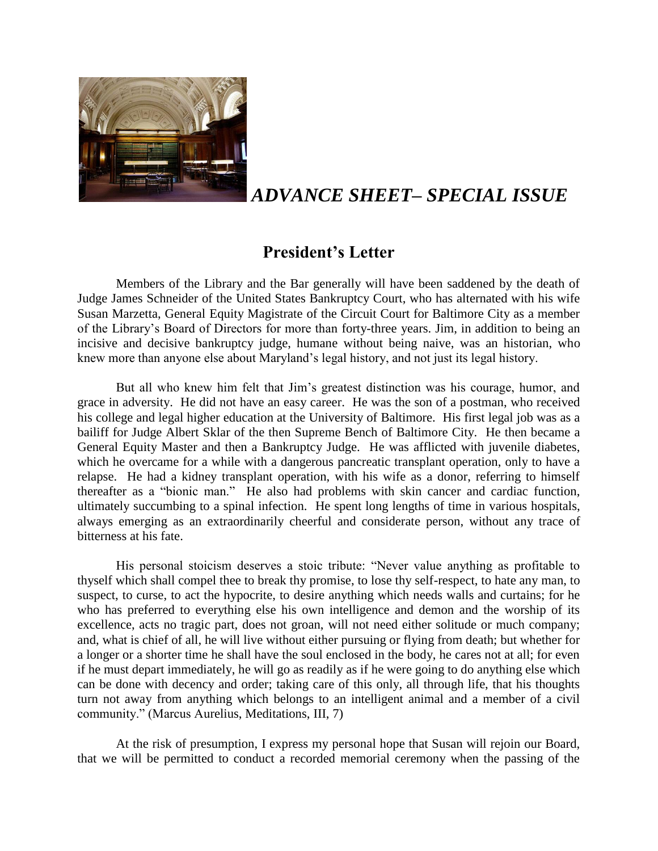

# *ADVANCE SHEET– SPECIAL ISSUE*

# **President's Letter**

Members of the Library and the Bar generally will have been saddened by the death of Judge James Schneider of the United States Bankruptcy Court, who has alternated with his wife Susan Marzetta, General Equity Magistrate of the Circuit Court for Baltimore City as a member of the Library's Board of Directors for more than forty-three years. Jim, in addition to being an incisive and decisive bankruptcy judge, humane without being naive, was an historian, who knew more than anyone else about Maryland's legal history, and not just its legal history.

But all who knew him felt that Jim's greatest distinction was his courage, humor, and grace in adversity. He did not have an easy career. He was the son of a postman, who received his college and legal higher education at the University of Baltimore. His first legal job was as a bailiff for Judge Albert Sklar of the then Supreme Bench of Baltimore City. He then became a General Equity Master and then a Bankruptcy Judge. He was afflicted with juvenile diabetes, which he overcame for a while with a dangerous pancreatic transplant operation, only to have a relapse. He had a kidney transplant operation, with his wife as a donor, referring to himself thereafter as a "bionic man." He also had problems with skin cancer and cardiac function, ultimately succumbing to a spinal infection. He spent long lengths of time in various hospitals, always emerging as an extraordinarily cheerful and considerate person, without any trace of bitterness at his fate.

His personal stoicism deserves a stoic tribute: "Never value anything as profitable to thyself which shall compel thee to break thy promise, to lose thy self-respect, to hate any man, to suspect, to curse, to act the hypocrite, to desire anything which needs walls and curtains; for he who has preferred to everything else his own intelligence and demon and the worship of its excellence, acts no tragic part, does not groan, will not need either solitude or much company; and, what is chief of all, he will live without either pursuing or flying from death; but whether for a longer or a shorter time he shall have the soul enclosed in the body, he cares not at all; for even if he must depart immediately, he will go as readily as if he were going to do anything else which can be done with decency and order; taking care of this only, all through life, that his thoughts turn not away from anything which belongs to an intelligent animal and a member of a civil community." (Marcus Aurelius, Meditations, III, 7)

At the risk of presumption, I express my personal hope that Susan will rejoin our Board, that we will be permitted to conduct a recorded memorial ceremony when the passing of the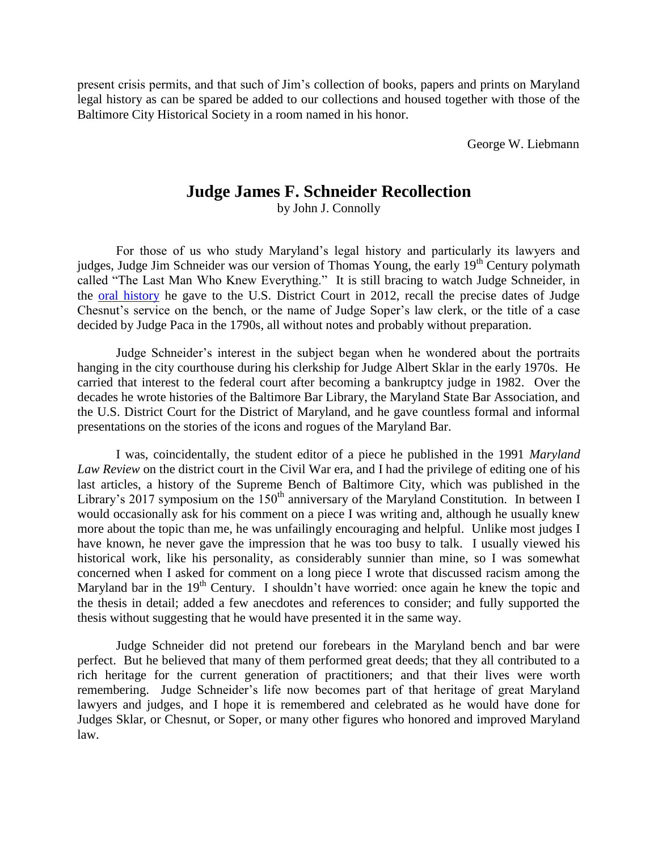present crisis permits, and that such of Jim's collection of books, papers and prints on Maryland legal history as can be spared be added to our collections and housed together with those of the Baltimore City Historical Society in a room named in his honor.

George W. Liebmann

## **Judge James F. Schneider Recollection**

by John J. Connolly

For those of us who study Maryland's legal history and particularly its lawyers and judges, Judge Jim Schneider was our version of Thomas Young, the early  $19<sup>th</sup>$  Century polymath called "The Last Man Who Knew Everything." It is still bracing to watch Judge Schneider, in the [oral history](https://youtu.be/uYXteAdY4XA) he gave to the U.S. District Court in 2012, recall the precise dates of Judge Chesnut's service on the bench, or the name of Judge Soper's law clerk, or the title of a case decided by Judge Paca in the 1790s, all without notes and probably without preparation.

Judge Schneider's interest in the subject began when he wondered about the portraits hanging in the city courthouse during his clerkship for Judge Albert Sklar in the early 1970s. He carried that interest to the federal court after becoming a bankruptcy judge in 1982. Over the decades he wrote histories of the Baltimore Bar Library, the Maryland State Bar Association, and the U.S. District Court for the District of Maryland, and he gave countless formal and informal presentations on the stories of the icons and rogues of the Maryland Bar.

I was, coincidentally, the student editor of a piece he published in the 1991 *Maryland Law Review* on the district court in the Civil War era, and I had the privilege of editing one of his last articles, a history of the Supreme Bench of Baltimore City, which was published in the Library's 2017 symposium on the  $150<sup>th</sup>$  anniversary of the Maryland Constitution. In between I would occasionally ask for his comment on a piece I was writing and, although he usually knew more about the topic than me, he was unfailingly encouraging and helpful. Unlike most judges I have known, he never gave the impression that he was too busy to talk. I usually viewed his historical work, like his personality, as considerably sunnier than mine, so I was somewhat concerned when I asked for comment on a long piece I wrote that discussed racism among the Maryland bar in the  $19<sup>th</sup>$  Century. I shouldn't have worried: once again he knew the topic and the thesis in detail; added a few anecdotes and references to consider; and fully supported the thesis without suggesting that he would have presented it in the same way.

Judge Schneider did not pretend our forebears in the Maryland bench and bar were perfect. But he believed that many of them performed great deeds; that they all contributed to a rich heritage for the current generation of practitioners; and that their lives were worth remembering. Judge Schneider's life now becomes part of that heritage of great Maryland lawyers and judges, and I hope it is remembered and celebrated as he would have done for Judges Sklar, or Chesnut, or Soper, or many other figures who honored and improved Maryland law.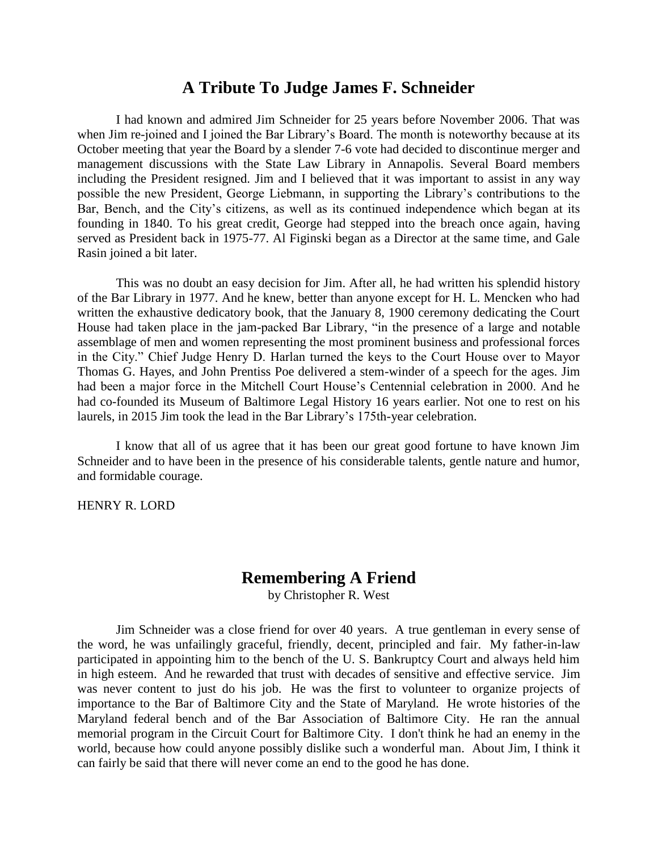### **A Tribute To Judge James F. Schneider**

I had known and admired Jim Schneider for 25 years before November 2006. That was when Jim re-joined and I joined the Bar Library's Board. The month is noteworthy because at its October meeting that year the Board by a slender 7-6 vote had decided to discontinue merger and management discussions with the State Law Library in Annapolis. Several Board members including the President resigned. Jim and I believed that it was important to assist in any way possible the new President, George Liebmann, in supporting the Library's contributions to the Bar, Bench, and the City's citizens, as well as its continued independence which began at its founding in 1840. To his great credit, George had stepped into the breach once again, having served as President back in 1975-77. Al Figinski began as a Director at the same time, and Gale Rasin joined a bit later.

This was no doubt an easy decision for Jim. After all, he had written his splendid history of the Bar Library in 1977. And he knew, better than anyone except for H. L. Mencken who had written the exhaustive dedicatory book, that the January 8, 1900 ceremony dedicating the Court House had taken place in the jam-packed Bar Library, "in the presence of a large and notable assemblage of men and women representing the most prominent business and professional forces in the City." Chief Judge Henry D. Harlan turned the keys to the Court House over to Mayor Thomas G. Hayes, and John Prentiss Poe delivered a stem-winder of a speech for the ages. Jim had been a major force in the Mitchell Court House's Centennial celebration in 2000. And he had co-founded its Museum of Baltimore Legal History 16 years earlier. Not one to rest on his laurels, in 2015 Jim took the lead in the Bar Library's 175th-year celebration.

I know that all of us agree that it has been our great good fortune to have known Jim Schneider and to have been in the presence of his considerable talents, gentle nature and humor, and formidable courage.

HENRY R. LORD

### **Remembering A Friend**

by Christopher R. West

Jim Schneider was a close friend for over 40 years. A true gentleman in every sense of the word, he was unfailingly graceful, friendly, decent, principled and fair. My father-in-law participated in appointing him to the bench of the U. S. Bankruptcy Court and always held him in high esteem. And he rewarded that trust with decades of sensitive and effective service. Jim was never content to just do his job. He was the first to volunteer to organize projects of importance to the Bar of Baltimore City and the State of Maryland. He wrote histories of the Maryland federal bench and of the Bar Association of Baltimore City. He ran the annual memorial program in the Circuit Court for Baltimore City. I don't think he had an enemy in the world, because how could anyone possibly dislike such a wonderful man. About Jim, I think it can fairly be said that there will never come an end to the good he has done.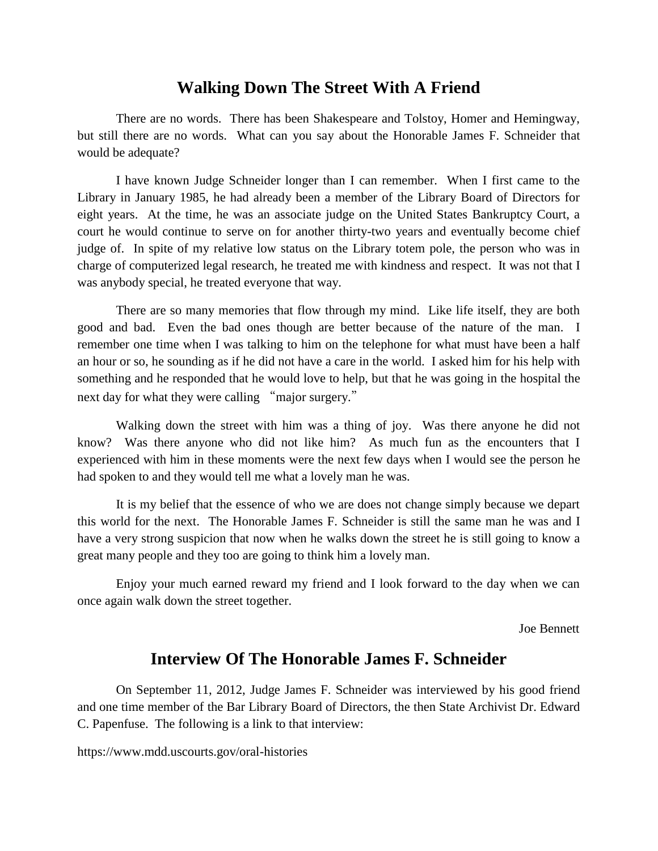## **Walking Down The Street With A Friend**

There are no words. There has been Shakespeare and Tolstoy, Homer and Hemingway, but still there are no words. What can you say about the Honorable James F. Schneider that would be adequate?

I have known Judge Schneider longer than I can remember. When I first came to the Library in January 1985, he had already been a member of the Library Board of Directors for eight years. At the time, he was an associate judge on the United States Bankruptcy Court, a court he would continue to serve on for another thirty-two years and eventually become chief judge of. In spite of my relative low status on the Library totem pole, the person who was in charge of computerized legal research, he treated me with kindness and respect. It was not that I was anybody special, he treated everyone that way.

There are so many memories that flow through my mind. Like life itself, they are both good and bad. Even the bad ones though are better because of the nature of the man. I remember one time when I was talking to him on the telephone for what must have been a half an hour or so, he sounding as if he did not have a care in the world. I asked him for his help with something and he responded that he would love to help, but that he was going in the hospital the next day for what they were calling "major surgery."

Walking down the street with him was a thing of joy. Was there anyone he did not know? Was there anyone who did not like him? As much fun as the encounters that I experienced with him in these moments were the next few days when I would see the person he had spoken to and they would tell me what a lovely man he was.

It is my belief that the essence of who we are does not change simply because we depart this world for the next. The Honorable James F. Schneider is still the same man he was and I have a very strong suspicion that now when he walks down the street he is still going to know a great many people and they too are going to think him a lovely man.

Enjoy your much earned reward my friend and I look forward to the day when we can once again walk down the street together.

Joe Bennett

## **Interview Of The Honorable James F. Schneider**

On September 11, 2012, Judge James F. Schneider was interviewed by his good friend and one time member of the Bar Library Board of Directors, the then State Archivist Dr. Edward C. Papenfuse. The following is a link to that interview:

https://www.mdd.uscourts.gov/oral-histories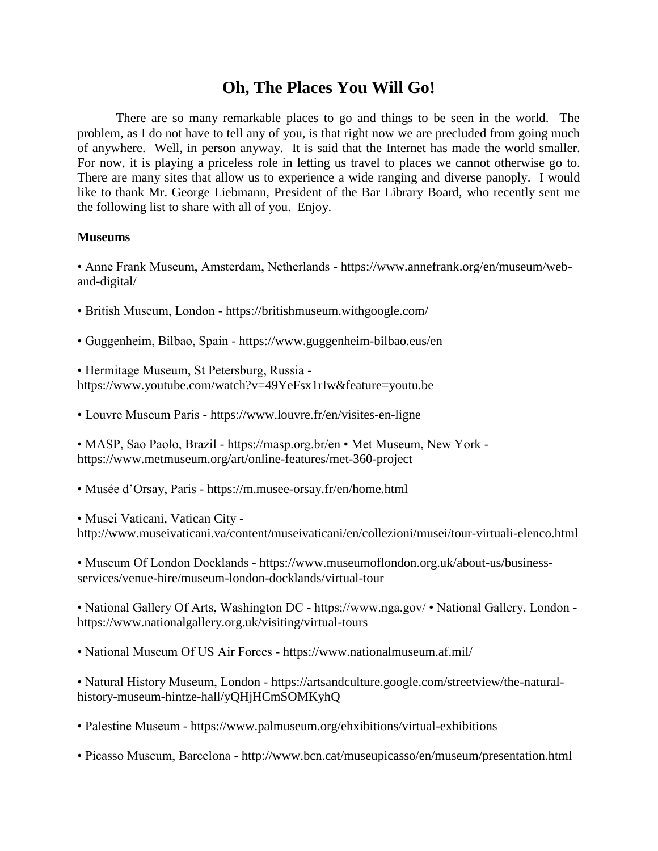# **Oh, The Places You Will Go!**

There are so many remarkable places to go and things to be seen in the world. The problem, as I do not have to tell any of you, is that right now we are precluded from going much of anywhere. Well, in person anyway. It is said that the Internet has made the world smaller. For now, it is playing a priceless role in letting us travel to places we cannot otherwise go to. There are many sites that allow us to experience a wide ranging and diverse panoply. I would like to thank Mr. George Liebmann, President of the Bar Library Board, who recently sent me the following list to share with all of you. Enjoy.

#### **Museums**

• Anne Frank Museum, Amsterdam, Netherlands - https://www.annefrank.org/en/museum/weband-digital/

- British Museum, London https://britishmuseum.withgoogle.com/
- Guggenheim, Bilbao, Spain https://www.guggenheim-bilbao.eus/en

• Hermitage Museum, St Petersburg, Russia https://www.youtube.com/watch?v=49YeFsx1rIw&feature=youtu.be

• Louvre Museum Paris - https://www.louvre.fr/en/visites-en-ligne

• MASP, Sao Paolo, Brazil - https://masp.org.br/en • Met Museum, New York https://www.metmuseum.org/art/online-features/met-360-project

• Musée d'Orsay, Paris - https://m.musee-orsay.fr/en/home.html

• Musei Vaticani, Vatican City http://www.museivaticani.va/content/museivaticani/en/collezioni/musei/tour-virtuali-elenco.html

• Museum Of London Docklands - https://www.museumoflondon.org.uk/about-us/businessservices/venue-hire/museum-london-docklands/virtual-tour

• National Gallery Of Arts, Washington DC - https://www.nga.gov/ • National Gallery, London https://www.nationalgallery.org.uk/visiting/virtual-tours

• National Museum Of US Air Forces - https://www.nationalmuseum.af.mil/

• Natural History Museum, London - https://artsandculture.google.com/streetview/the-naturalhistory-museum-hintze-hall/yQHjHCmSOMKyhQ

• Palestine Museum - https://www.palmuseum.org/ehxibitions/virtual-exhibitions

• Picasso Museum, Barcelona - http://www.bcn.cat/museupicasso/en/museum/presentation.html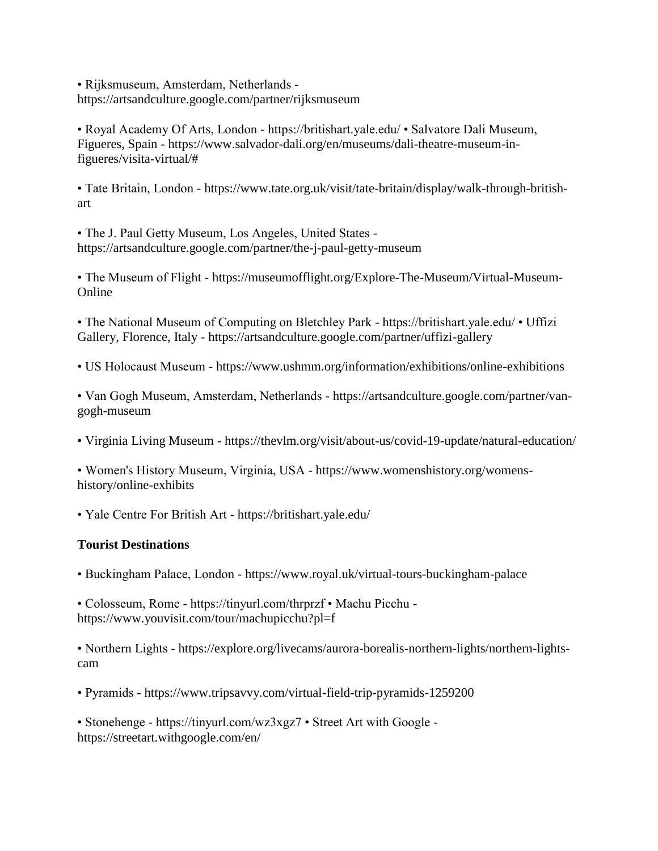• Rijksmuseum, Amsterdam, Netherlands https://artsandculture.google.com/partner/rijksmuseum

• Royal Academy Of Arts, London - https://britishart.yale.edu/ • Salvatore Dali Museum, Figueres, Spain - https://www.salvador-dali.org/en/museums/dali-theatre-museum-infigueres/visita-virtual/#

• Tate Britain, London - https://www.tate.org.uk/visit/tate-britain/display/walk-through-britishart

• The J. Paul Getty Museum, Los Angeles, United States https://artsandculture.google.com/partner/the-j-paul-getty-museum

• The Museum of Flight - https://museumofflight.org/Explore-The-Museum/Virtual-Museum-Online

• The National Museum of Computing on Bletchley Park - https://britishart.yale.edu/ • Uffizi Gallery, Florence, Italy - https://artsandculture.google.com/partner/uffizi-gallery

• US Holocaust Museum - https://www.ushmm.org/information/exhibitions/online-exhibitions

• Van Gogh Museum, Amsterdam, Netherlands - https://artsandculture.google.com/partner/vangogh-museum

• Virginia Living Museum - https://thevlm.org/visit/about-us/covid-19-update/natural-education/

• Women's History Museum, Virginia, USA - https://www.womenshistory.org/womenshistory/online-exhibits

• Yale Centre For British Art - https://britishart.yale.edu/

#### **Tourist Destinations**

• Buckingham Palace, London - https://www.royal.uk/virtual-tours-buckingham-palace

• Colosseum, Rome - https://tinyurl.com/thrprzf • Machu Picchu https://www.youvisit.com/tour/machupicchu?pl=f

• Northern Lights - https://explore.org/livecams/aurora-borealis-northern-lights/northern-lightscam

• Pyramids - https://www.tripsavvy.com/virtual-field-trip-pyramids-1259200

• Stonehenge - https://tinyurl.com/wz3xgz7 • Street Art with Google https://streetart.withgoogle.com/en/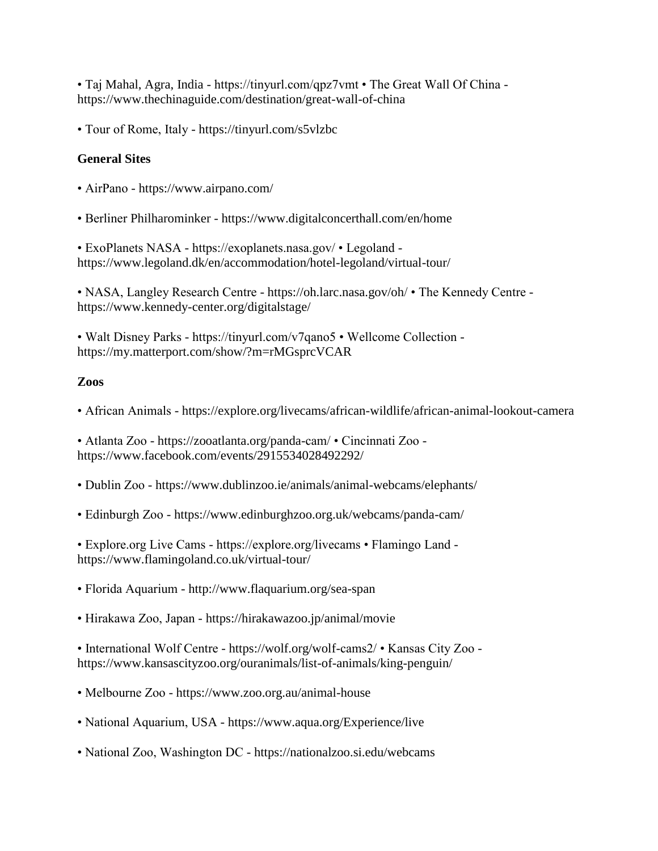• Taj Mahal, Agra, India - https://tinyurl.com/qpz7vmt • The Great Wall Of China https://www.thechinaguide.com/destination/great-wall-of-china

• Tour of Rome, Italy - https://tinyurl.com/s5vlzbc

### **General Sites**

- AirPano https://www.airpano.com/
- Berliner Philharominker https://www.digitalconcerthall.com/en/home

• ExoPlanets NASA - https://exoplanets.nasa.gov/ • Legoland https://www.legoland.dk/en/accommodation/hotel-legoland/virtual-tour/

• NASA, Langley Research Centre - https://oh.larc.nasa.gov/oh/ • The Kennedy Centre https://www.kennedy-center.org/digitalstage/

• Walt Disney Parks - https://tinyurl.com/v7qano5 • Wellcome Collection https://my.matterport.com/show/?m=rMGsprcVCAR

### **Zoos**

• African Animals - https://explore.org/livecams/african-wildlife/african-animal-lookout-camera

• Atlanta Zoo - https://zooatlanta.org/panda-cam/ • Cincinnati Zoo https://www.facebook.com/events/2915534028492292/

- Dublin Zoo https://www.dublinzoo.ie/animals/animal-webcams/elephants/
- Edinburgh Zoo https://www.edinburghzoo.org.uk/webcams/panda-cam/
- Explore.org Live Cams https://explore.org/livecams Flamingo Land https://www.flamingoland.co.uk/virtual-tour/
- Florida Aquarium http://www.flaquarium.org/sea-span
- Hirakawa Zoo, Japan https://hirakawazoo.jp/animal/movie

• International Wolf Centre - https://wolf.org/wolf-cams2/ • Kansas City Zoo https://www.kansascityzoo.org/ouranimals/list-of-animals/king-penguin/

- Melbourne Zoo https://www.zoo.org.au/animal-house
- National Aquarium, USA https://www.aqua.org/Experience/live
- National Zoo, Washington DC https://nationalzoo.si.edu/webcams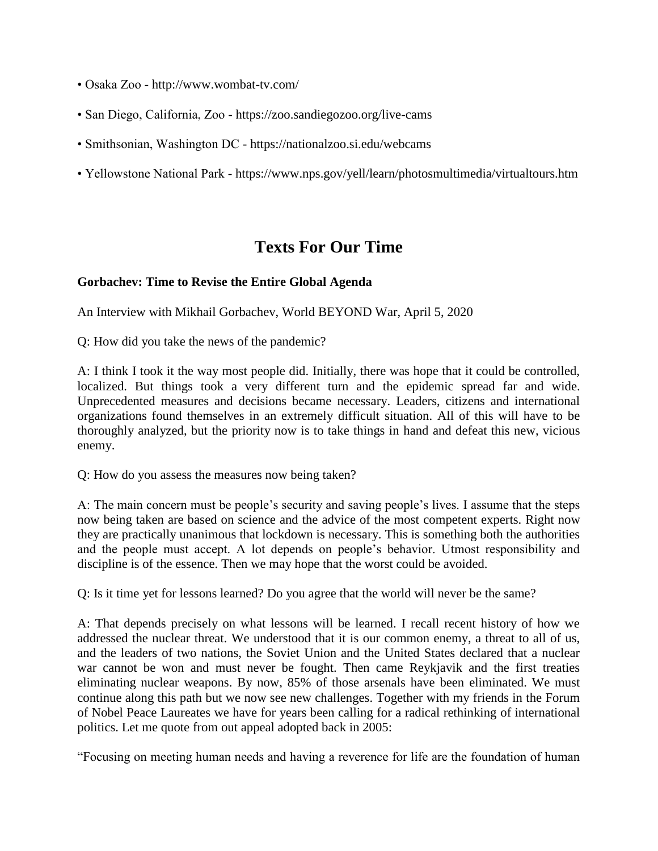- Osaka Zoo http://www.wombat-tv.com/
- San Diego, California, Zoo https://zoo.sandiegozoo.org/live-cams
- Smithsonian, Washington DC https://nationalzoo.si.edu/webcams
- Yellowstone National Park https://www.nps.gov/yell/learn/photosmultimedia/virtualtours.htm

# **Texts For Our Time**

#### **[Gorbachev: Time to Revise the Entire Global Agenda](https://worldbeyondwar.org/gorbachev-time-to-revise-the-entire-global-agenda/)**

An Interview with Mikhail Gorbachev, World BEYOND War, April 5, 2020

Q: How did you take the news of the pandemic?

A: I think I took it the way most people did. Initially, there was hope that it could be controlled, localized. But things took a very different turn and the epidemic spread far and wide. Unprecedented measures and decisions became necessary. Leaders, citizens and international organizations found themselves in an extremely difficult situation. All of this will have to be thoroughly analyzed, but the priority now is to take things in hand and defeat this new, vicious enemy.

Q: How do you assess the measures now being taken?

A: The main concern must be people's security and saving people's lives. I assume that the steps now being taken are based on science and the advice of the most competent experts. Right now they are practically unanimous that lockdown is necessary. This is something both the authorities and the people must accept. A lot depends on people's behavior. Utmost responsibility and discipline is of the essence. Then we may hope that the worst could be avoided.

Q: Is it time yet for lessons learned? Do you agree that the world will never be the same?

A: That depends precisely on what lessons will be learned. I recall recent history of how we addressed the nuclear threat. We understood that it is our common enemy, a threat to all of us, and the leaders of two nations, the Soviet Union and the United States declared that a nuclear war cannot be won and must never be fought. Then came Reykjavik and the first treaties eliminating nuclear weapons. By now, 85% of those arsenals have been eliminated. We must continue along this path but we now see new challenges. Together with my friends in the Forum of Nobel Peace Laureates we have for years been calling for a radical rethinking of international politics. Let me quote from out appeal adopted back in 2005:

"Focusing on meeting human needs and having a reverence for life are the foundation of human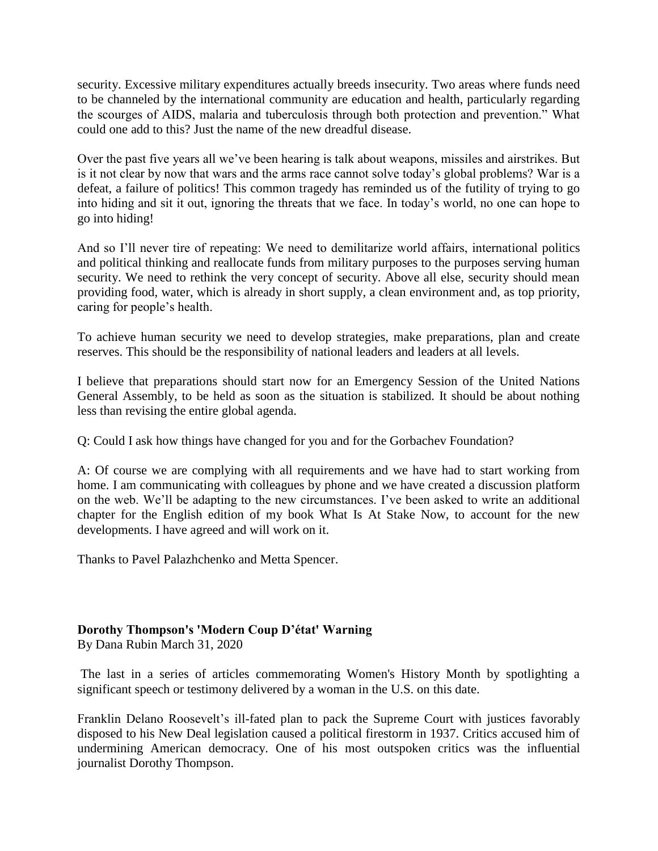security. Excessive military expenditures actually breeds insecurity. Two areas where funds need to be channeled by the international community are education and health, particularly regarding the scourges of AIDS, malaria and tuberculosis through both protection and prevention." What could one add to this? Just the name of the new dreadful disease.

Over the past five years all we've been hearing is talk about weapons, missiles and airstrikes. But is it not clear by now that wars and the arms race cannot solve today's global problems? War is a defeat, a failure of politics! This common tragedy has reminded us of the futility of trying to go into hiding and sit it out, ignoring the threats that we face. In today's world, no one can hope to go into hiding!

And so I'll never tire of repeating: We need to demilitarize world affairs, international politics and political thinking and reallocate funds from military purposes to the purposes serving human security. We need to rethink the very concept of security. Above all else, security should mean providing food, water, which is already in short supply, a clean environment and, as top priority, caring for people's health.

To achieve human security we need to develop strategies, make preparations, plan and create reserves. This should be the responsibility of national leaders and leaders at all levels.

I believe that preparations should start now for an Emergency Session of the United Nations General Assembly, to be held as soon as the situation is stabilized. It should be about nothing less than revising the entire global agenda.

Q: Could I ask how things have changed for you and for the Gorbachev Foundation?

A: Of course we are complying with all requirements and we have had to start working from home. I am communicating with colleagues by phone and we have created a discussion platform on the web. We'll be adapting to the new circumstances. I've been asked to write an additional chapter for the English edition of my book What Is At Stake Now, to account for the new developments. I have agreed and will work on it.

Thanks to Pavel Palazhchenko and Metta Spencer.

#### **Dorothy Thompson's 'Modern Coup D'état' Warning**

By Dana Rubin March 31, 2020

The last in a series of articles commemorating Women's History Month by spotlighting a significant speech or testimony delivered by a woman in the U.S. on this date.

Franklin Delano Roosevelt's ill-fated plan to pack the Supreme Court with justices favorably disposed to his New Deal legislation caused a political firestorm in 1937. Critics accused him of undermining American democracy. One of his most outspoken critics was the influential journalist Dorothy Thompson.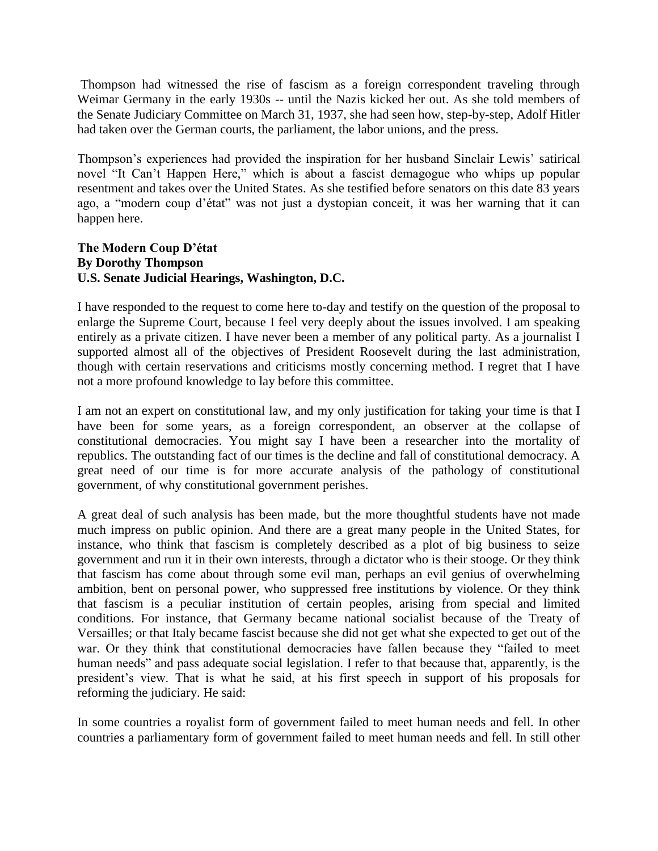Thompson had witnessed the rise of fascism as a foreign correspondent traveling through Weimar Germany in the early 1930s -- until the Nazis kicked her out. As she told members of the Senate Judiciary Committee on March 31, 1937, she had seen how, step-by-step, Adolf Hitler had taken over the German courts, the parliament, the labor unions, and the press.

Thompson's experiences had provided the inspiration for her husband Sinclair Lewis' satirical novel "It Can't Happen Here," which is about a fascist demagogue who whips up popular resentment and takes over the United States. As she testified before senators on this date 83 years ago, a "modern coup d'état" was not just a dystopian conceit, it was her warning that it can happen here.

#### **The Modern Coup D'état By Dorothy Thompson U.S. Senate Judicial Hearings, Washington, D.C.**

I have responded to the request to come here to-day and testify on the question of the proposal to enlarge the Supreme Court, because I feel very deeply about the issues involved. I am speaking entirely as a private citizen. I have never been a member of any political party. As a journalist I supported almost all of the objectives of President Roosevelt during the last administration, though with certain reservations and criticisms mostly concerning method. I regret that I have not a more profound knowledge to lay before this committee.

I am not an expert on constitutional law, and my only justification for taking your time is that I have been for some years, as a foreign correspondent, an observer at the collapse of constitutional democracies. You might say I have been a researcher into the mortality of republics. The outstanding fact of our times is the decline and fall of constitutional democracy. A great need of our time is for more accurate analysis of the pathology of constitutional government, of why constitutional government perishes.

A great deal of such analysis has been made, but the more thoughtful students have not made much impress on public opinion. And there are a great many people in the United States, for instance, who think that fascism is completely described as a plot of big business to seize government and run it in their own interests, through a dictator who is their stooge. Or they think that fascism has come about through some evil man, perhaps an evil genius of overwhelming ambition, bent on personal power, who suppressed free institutions by violence. Or they think that fascism is a peculiar institution of certain peoples, arising from special and limited conditions. For instance, that Germany became national socialist because of the Treaty of Versailles; or that Italy became fascist because she did not get what she expected to get out of the war. Or they think that constitutional democracies have fallen because they "failed to meet human needs" and pass adequate social legislation. I refer to that because that, apparently, is the president's view. That is what he said, at his first speech in support of his proposals for reforming the judiciary. He said:

In some countries a royalist form of government failed to meet human needs and fell. In other countries a parliamentary form of government failed to meet human needs and fell. In still other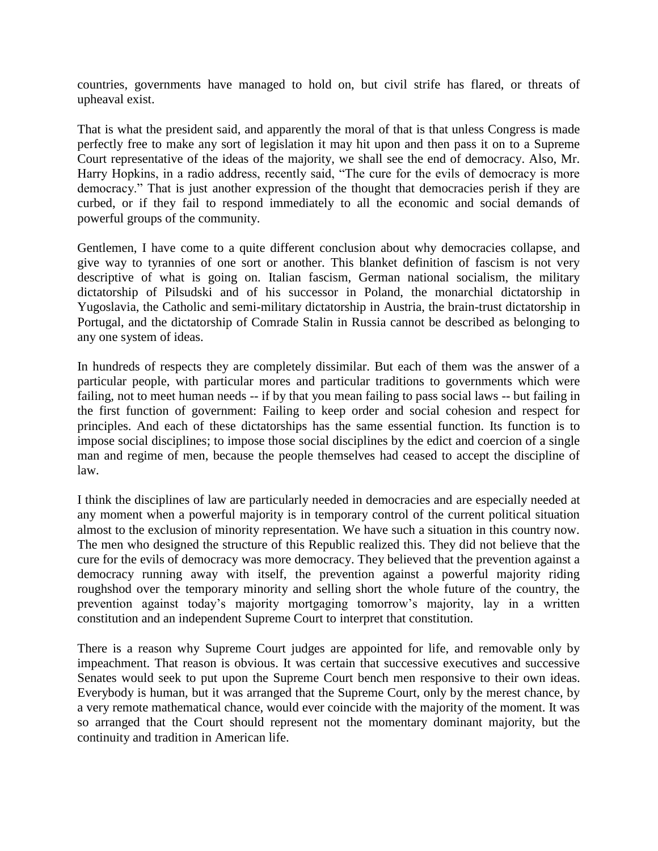countries, governments have managed to hold on, but civil strife has flared, or threats of upheaval exist.

That is what the president said, and apparently the moral of that is that unless Congress is made perfectly free to make any sort of legislation it may hit upon and then pass it on to a Supreme Court representative of the ideas of the majority, we shall see the end of democracy. Also, Mr. Harry Hopkins, in a radio address, recently said, "The cure for the evils of democracy is more democracy." That is just another expression of the thought that democracies perish if they are curbed, or if they fail to respond immediately to all the economic and social demands of powerful groups of the community.

Gentlemen, I have come to a quite different conclusion about why democracies collapse, and give way to tyrannies of one sort or another. This blanket definition of fascism is not very descriptive of what is going on. Italian fascism, German national socialism, the military dictatorship of Pilsudski and of his successor in Poland, the monarchial dictatorship in Yugoslavia, the Catholic and semi-military dictatorship in Austria, the brain-trust dictatorship in Portugal, and the dictatorship of Comrade Stalin in Russia cannot be described as belonging to any one system of ideas.

In hundreds of respects they are completely dissimilar. But each of them was the answer of a particular people, with particular mores and particular traditions to governments which were failing, not to meet human needs -- if by that you mean failing to pass social laws -- but failing in the first function of government: Failing to keep order and social cohesion and respect for principles. And each of these dictatorships has the same essential function. Its function is to impose social disciplines; to impose those social disciplines by the edict and coercion of a single man and regime of men, because the people themselves had ceased to accept the discipline of law.

I think the disciplines of law are particularly needed in democracies and are especially needed at any moment when a powerful majority is in temporary control of the current political situation almost to the exclusion of minority representation. We have such a situation in this country now. The men who designed the structure of this Republic realized this. They did not believe that the cure for the evils of democracy was more democracy. They believed that the prevention against a democracy running away with itself, the prevention against a powerful majority riding roughshod over the temporary minority and selling short the whole future of the country, the prevention against today's majority mortgaging tomorrow's majority, lay in a written constitution and an independent Supreme Court to interpret that constitution.

There is a reason why Supreme Court judges are appointed for life, and removable only by impeachment. That reason is obvious. It was certain that successive executives and successive Senates would seek to put upon the Supreme Court bench men responsive to their own ideas. Everybody is human, but it was arranged that the Supreme Court, only by the merest chance, by a very remote mathematical chance, would ever coincide with the majority of the moment. It was so arranged that the Court should represent not the momentary dominant majority, but the continuity and tradition in American life.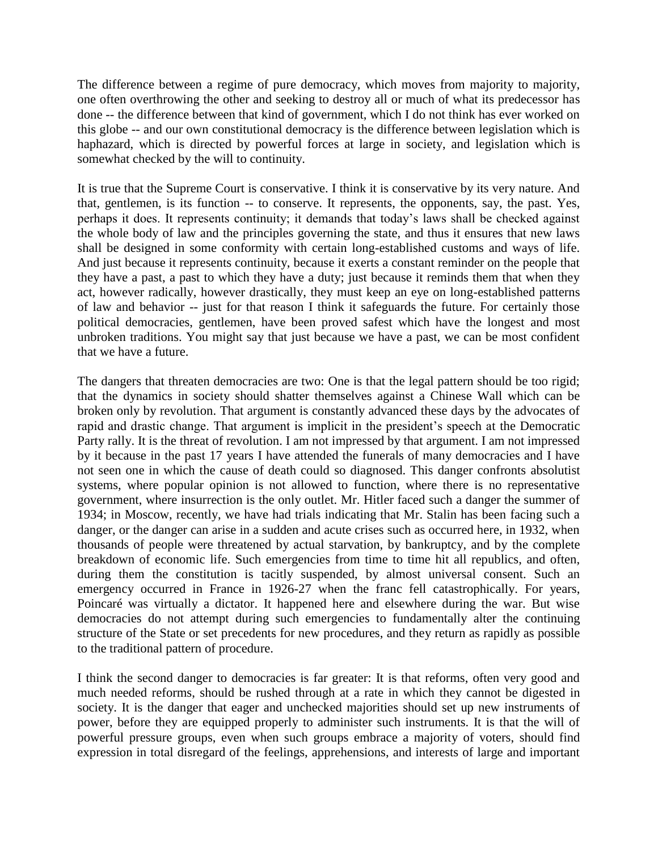The difference between a regime of pure democracy, which moves from majority to majority, one often overthrowing the other and seeking to destroy all or much of what its predecessor has done -- the difference between that kind of government, which I do not think has ever worked on this globe -- and our own constitutional democracy is the difference between legislation which is haphazard, which is directed by powerful forces at large in society, and legislation which is somewhat checked by the will to continuity.

It is true that the Supreme Court is conservative. I think it is conservative by its very nature. And that, gentlemen, is its function -- to conserve. It represents, the opponents, say, the past. Yes, perhaps it does. It represents continuity; it demands that today's laws shall be checked against the whole body of law and the principles governing the state, and thus it ensures that new laws shall be designed in some conformity with certain long-established customs and ways of life. And just because it represents continuity, because it exerts a constant reminder on the people that they have a past, a past to which they have a duty; just because it reminds them that when they act, however radically, however drastically, they must keep an eye on long-established patterns of law and behavior -- just for that reason I think it safeguards the future. For certainly those political democracies, gentlemen, have been proved safest which have the longest and most unbroken traditions. You might say that just because we have a past, we can be most confident that we have a future.

The dangers that threaten democracies are two: One is that the legal pattern should be too rigid; that the dynamics in society should shatter themselves against a Chinese Wall which can be broken only by revolution. That argument is constantly advanced these days by the advocates of rapid and drastic change. That argument is implicit in the president's speech at the Democratic Party rally. It is the threat of revolution. I am not impressed by that argument. I am not impressed by it because in the past 17 years I have attended the funerals of many democracies and I have not seen one in which the cause of death could so diagnosed. This danger confronts absolutist systems, where popular opinion is not allowed to function, where there is no representative government, where insurrection is the only outlet. Mr. Hitler faced such a danger the summer of 1934; in Moscow, recently, we have had trials indicating that Mr. Stalin has been facing such a danger, or the danger can arise in a sudden and acute crises such as occurred here, in 1932, when thousands of people were threatened by actual starvation, by bankruptcy, and by the complete breakdown of economic life. Such emergencies from time to time hit all republics, and often, during them the constitution is tacitly suspended, by almost universal consent. Such an emergency occurred in France in 1926-27 when the franc fell catastrophically. For years, Poincaré was virtually a dictator. It happened here and elsewhere during the war. But wise democracies do not attempt during such emergencies to fundamentally alter the continuing structure of the State or set precedents for new procedures, and they return as rapidly as possible to the traditional pattern of procedure.

I think the second danger to democracies is far greater: It is that reforms, often very good and much needed reforms, should be rushed through at a rate in which they cannot be digested in society. It is the danger that eager and unchecked majorities should set up new instruments of power, before they are equipped properly to administer such instruments. It is that the will of powerful pressure groups, even when such groups embrace a majority of voters, should find expression in total disregard of the feelings, apprehensions, and interests of large and important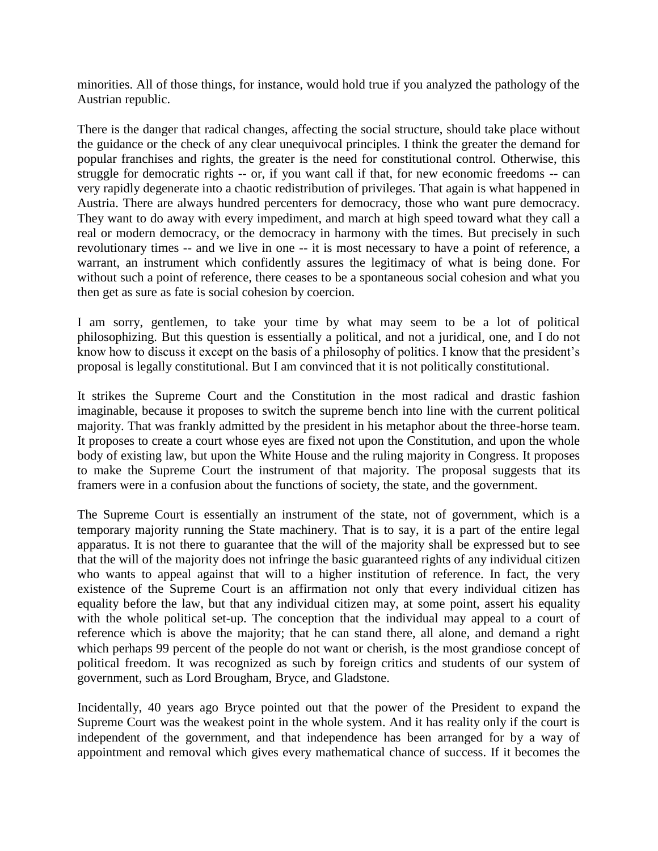minorities. All of those things, for instance, would hold true if you analyzed the pathology of the Austrian republic.

There is the danger that radical changes, affecting the social structure, should take place without the guidance or the check of any clear unequivocal principles. I think the greater the demand for popular franchises and rights, the greater is the need for constitutional control. Otherwise, this struggle for democratic rights -- or, if you want call if that, for new economic freedoms -- can very rapidly degenerate into a chaotic redistribution of privileges. That again is what happened in Austria. There are always hundred percenters for democracy, those who want pure democracy. They want to do away with every impediment, and march at high speed toward what they call a real or modern democracy, or the democracy in harmony with the times. But precisely in such revolutionary times -- and we live in one -- it is most necessary to have a point of reference, a warrant, an instrument which confidently assures the legitimacy of what is being done. For without such a point of reference, there ceases to be a spontaneous social cohesion and what you then get as sure as fate is social cohesion by coercion.

I am sorry, gentlemen, to take your time by what may seem to be a lot of political philosophizing. But this question is essentially a political, and not a juridical, one, and I do not know how to discuss it except on the basis of a philosophy of politics. I know that the president's proposal is legally constitutional. But I am convinced that it is not politically constitutional.

It strikes the Supreme Court and the Constitution in the most radical and drastic fashion imaginable, because it proposes to switch the supreme bench into line with the current political majority. That was frankly admitted by the president in his metaphor about the three-horse team. It proposes to create a court whose eyes are fixed not upon the Constitution, and upon the whole body of existing law, but upon the White House and the ruling majority in Congress. It proposes to make the Supreme Court the instrument of that majority. The proposal suggests that its framers were in a confusion about the functions of society, the state, and the government.

The Supreme Court is essentially an instrument of the state, not of government, which is a temporary majority running the State machinery. That is to say, it is a part of the entire legal apparatus. It is not there to guarantee that the will of the majority shall be expressed but to see that the will of the majority does not infringe the basic guaranteed rights of any individual citizen who wants to appeal against that will to a higher institution of reference. In fact, the very existence of the Supreme Court is an affirmation not only that every individual citizen has equality before the law, but that any individual citizen may, at some point, assert his equality with the whole political set-up. The conception that the individual may appeal to a court of reference which is above the majority; that he can stand there, all alone, and demand a right which perhaps 99 percent of the people do not want or cherish, is the most grandiose concept of political freedom. It was recognized as such by foreign critics and students of our system of government, such as Lord Brougham, Bryce, and Gladstone.

Incidentally, 40 years ago Bryce pointed out that the power of the President to expand the Supreme Court was the weakest point in the whole system. And it has reality only if the court is independent of the government, and that independence has been arranged for by a way of appointment and removal which gives every mathematical chance of success. If it becomes the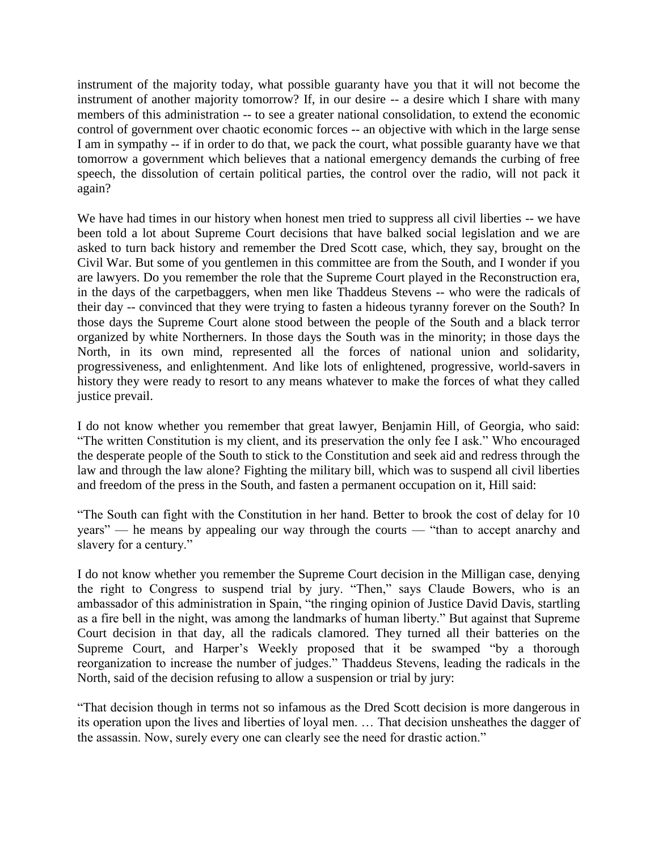instrument of the majority today, what possible guaranty have you that it will not become the instrument of another majority tomorrow? If, in our desire -- a desire which I share with many members of this administration -- to see a greater national consolidation, to extend the economic control of government over chaotic economic forces -- an objective with which in the large sense I am in sympathy -- if in order to do that, we pack the court, what possible guaranty have we that tomorrow a government which believes that a national emergency demands the curbing of free speech, the dissolution of certain political parties, the control over the radio, will not pack it again?

We have had times in our history when honest men tried to suppress all civil liberties -- we have been told a lot about Supreme Court decisions that have balked social legislation and we are asked to turn back history and remember the Dred Scott case, which, they say, brought on the Civil War. But some of you gentlemen in this committee are from the South, and I wonder if you are lawyers. Do you remember the role that the Supreme Court played in the Reconstruction era, in the days of the carpetbaggers, when men like Thaddeus Stevens -- who were the radicals of their day -- convinced that they were trying to fasten a hideous tyranny forever on the South? In those days the Supreme Court alone stood between the people of the South and a black terror organized by white Northerners. In those days the South was in the minority; in those days the North, in its own mind, represented all the forces of national union and solidarity, progressiveness, and enlightenment. And like lots of enlightened, progressive, world-savers in history they were ready to resort to any means whatever to make the forces of what they called justice prevail.

I do not know whether you remember that great lawyer, Benjamin Hill, of Georgia, who said: "The written Constitution is my client, and its preservation the only fee I ask." Who encouraged the desperate people of the South to stick to the Constitution and seek aid and redress through the law and through the law alone? Fighting the military bill, which was to suspend all civil liberties and freedom of the press in the South, and fasten a permanent occupation on it, Hill said:

"The South can fight with the Constitution in her hand. Better to brook the cost of delay for 10 years" — he means by appealing our way through the courts — "than to accept anarchy and slavery for a century."

I do not know whether you remember the Supreme Court decision in the Milligan case, denying the right to Congress to suspend trial by jury. "Then," says Claude Bowers, who is an ambassador of this administration in Spain, "the ringing opinion of Justice David Davis, startling as a fire bell in the night, was among the landmarks of human liberty." But against that Supreme Court decision in that day, all the radicals clamored. They turned all their batteries on the Supreme Court, and Harper's Weekly proposed that it be swamped "by a thorough reorganization to increase the number of judges." Thaddeus Stevens, leading the radicals in the North, said of the decision refusing to allow a suspension or trial by jury:

"That decision though in terms not so infamous as the Dred Scott decision is more dangerous in its operation upon the lives and liberties of loyal men. … That decision unsheathes the dagger of the assassin. Now, surely every one can clearly see the need for drastic action."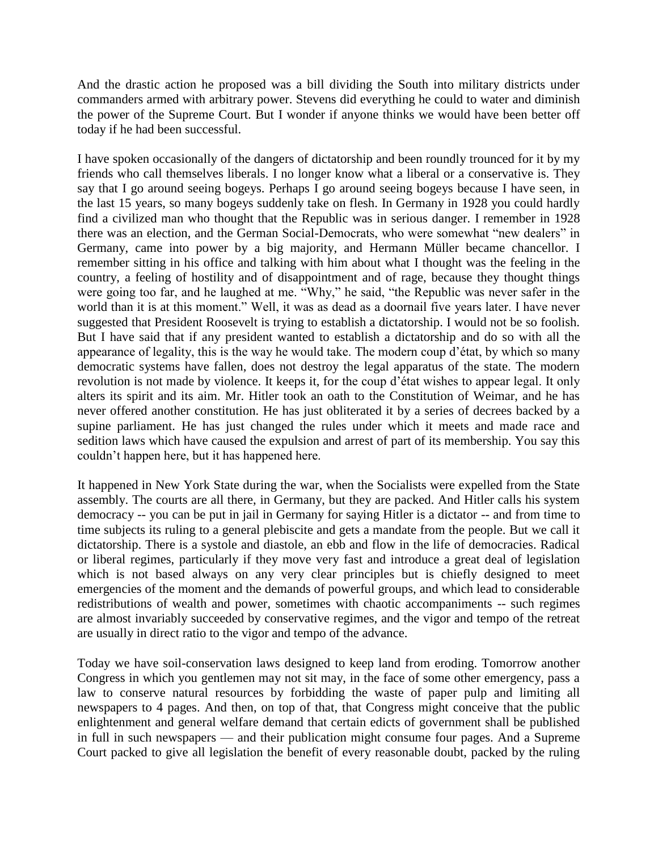And the drastic action he proposed was a bill dividing the South into military districts under commanders armed with arbitrary power. Stevens did everything he could to water and diminish the power of the Supreme Court. But I wonder if anyone thinks we would have been better off today if he had been successful.

I have spoken occasionally of the dangers of dictatorship and been roundly trounced for it by my friends who call themselves liberals. I no longer know what a liberal or a conservative is. They say that I go around seeing bogeys. Perhaps I go around seeing bogeys because I have seen, in the last 15 years, so many bogeys suddenly take on flesh. In Germany in 1928 you could hardly find a civilized man who thought that the Republic was in serious danger. I remember in 1928 there was an election, and the German Social-Democrats, who were somewhat "new dealers" in Germany, came into power by a big majority, and Hermann Müller became chancellor. I remember sitting in his office and talking with him about what I thought was the feeling in the country, a feeling of hostility and of disappointment and of rage, because they thought things were going too far, and he laughed at me. "Why," he said, "the Republic was never safer in the world than it is at this moment." Well, it was as dead as a doornail five years later. I have never suggested that President Roosevelt is trying to establish a dictatorship. I would not be so foolish. But I have said that if any president wanted to establish a dictatorship and do so with all the appearance of legality, this is the way he would take. The modern coup d'état, by which so many democratic systems have fallen, does not destroy the legal apparatus of the state. The modern revolution is not made by violence. It keeps it, for the coup d'état wishes to appear legal. It only alters its spirit and its aim. Mr. Hitler took an oath to the Constitution of Weimar, and he has never offered another constitution. He has just obliterated it by a series of decrees backed by a supine parliament. He has just changed the rules under which it meets and made race and sedition laws which have caused the expulsion and arrest of part of its membership. You say this couldn't happen here, but it has happened here.

It happened in New York State during the war, when the Socialists were expelled from the State assembly. The courts are all there, in Germany, but they are packed. And Hitler calls his system democracy -- you can be put in jail in Germany for saying Hitler is a dictator -- and from time to time subjects its ruling to a general plebiscite and gets a mandate from the people. But we call it dictatorship. There is a systole and diastole, an ebb and flow in the life of democracies. Radical or liberal regimes, particularly if they move very fast and introduce a great deal of legislation which is not based always on any very clear principles but is chiefly designed to meet emergencies of the moment and the demands of powerful groups, and which lead to considerable redistributions of wealth and power, sometimes with chaotic accompaniments -- such regimes are almost invariably succeeded by conservative regimes, and the vigor and tempo of the retreat are usually in direct ratio to the vigor and tempo of the advance.

Today we have soil-conservation laws designed to keep land from eroding. Tomorrow another Congress in which you gentlemen may not sit may, in the face of some other emergency, pass a law to conserve natural resources by forbidding the waste of paper pulp and limiting all newspapers to 4 pages. And then, on top of that, that Congress might conceive that the public enlightenment and general welfare demand that certain edicts of government shall be published in full in such newspapers — and their publication might consume four pages. And a Supreme Court packed to give all legislation the benefit of every reasonable doubt, packed by the ruling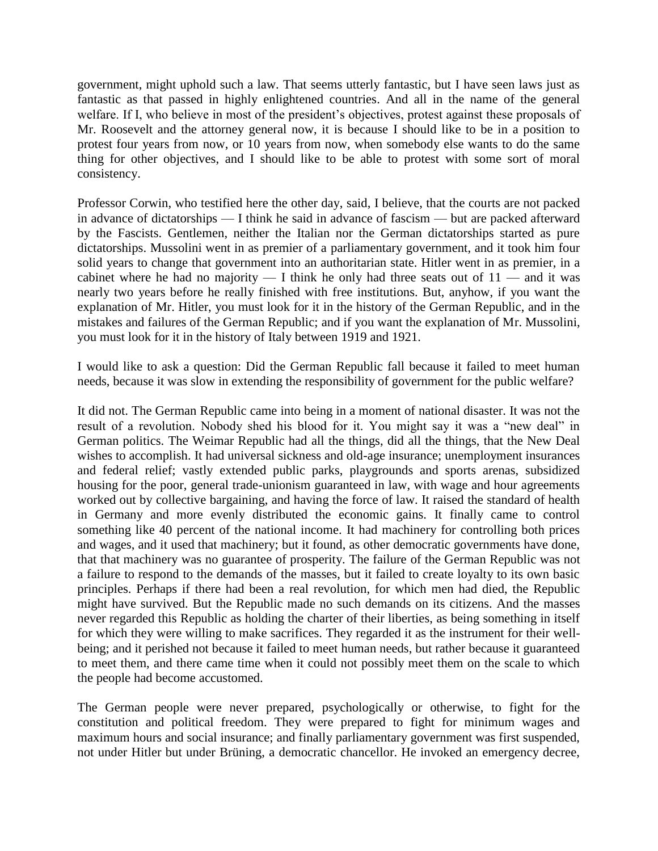government, might uphold such a law. That seems utterly fantastic, but I have seen laws just as fantastic as that passed in highly enlightened countries. And all in the name of the general welfare. If I, who believe in most of the president's objectives, protest against these proposals of Mr. Roosevelt and the attorney general now, it is because I should like to be in a position to protest four years from now, or 10 years from now, when somebody else wants to do the same thing for other objectives, and I should like to be able to protest with some sort of moral consistency.

Professor Corwin, who testified here the other day, said, I believe, that the courts are not packed in advance of dictatorships — I think he said in advance of fascism — but are packed afterward by the Fascists. Gentlemen, neither the Italian nor the German dictatorships started as pure dictatorships. Mussolini went in as premier of a parliamentary government, and it took him four solid years to change that government into an authoritarian state. Hitler went in as premier, in a cabinet where he had no majority  $-$  I think he only had three seats out of  $11 -$  and it was nearly two years before he really finished with free institutions. But, anyhow, if you want the explanation of Mr. Hitler, you must look for it in the history of the German Republic, and in the mistakes and failures of the German Republic; and if you want the explanation of Mr. Mussolini, you must look for it in the history of Italy between 1919 and 1921.

I would like to ask a question: Did the German Republic fall because it failed to meet human needs, because it was slow in extending the responsibility of government for the public welfare?

It did not. The German Republic came into being in a moment of national disaster. It was not the result of a revolution. Nobody shed his blood for it. You might say it was a "new deal" in German politics. The Weimar Republic had all the things, did all the things, that the New Deal wishes to accomplish. It had universal sickness and old-age insurance; unemployment insurances and federal relief; vastly extended public parks, playgrounds and sports arenas, subsidized housing for the poor, general trade-unionism guaranteed in law, with wage and hour agreements worked out by collective bargaining, and having the force of law. It raised the standard of health in Germany and more evenly distributed the economic gains. It finally came to control something like 40 percent of the national income. It had machinery for controlling both prices and wages, and it used that machinery; but it found, as other democratic governments have done, that that machinery was no guarantee of prosperity. The failure of the German Republic was not a failure to respond to the demands of the masses, but it failed to create loyalty to its own basic principles. Perhaps if there had been a real revolution, for which men had died, the Republic might have survived. But the Republic made no such demands on its citizens. And the masses never regarded this Republic as holding the charter of their liberties, as being something in itself for which they were willing to make sacrifices. They regarded it as the instrument for their wellbeing; and it perished not because it failed to meet human needs, but rather because it guaranteed to meet them, and there came time when it could not possibly meet them on the scale to which the people had become accustomed.

The German people were never prepared, psychologically or otherwise, to fight for the constitution and political freedom. They were prepared to fight for minimum wages and maximum hours and social insurance; and finally parliamentary government was first suspended, not under Hitler but under Brüning, a democratic chancellor. He invoked an emergency decree,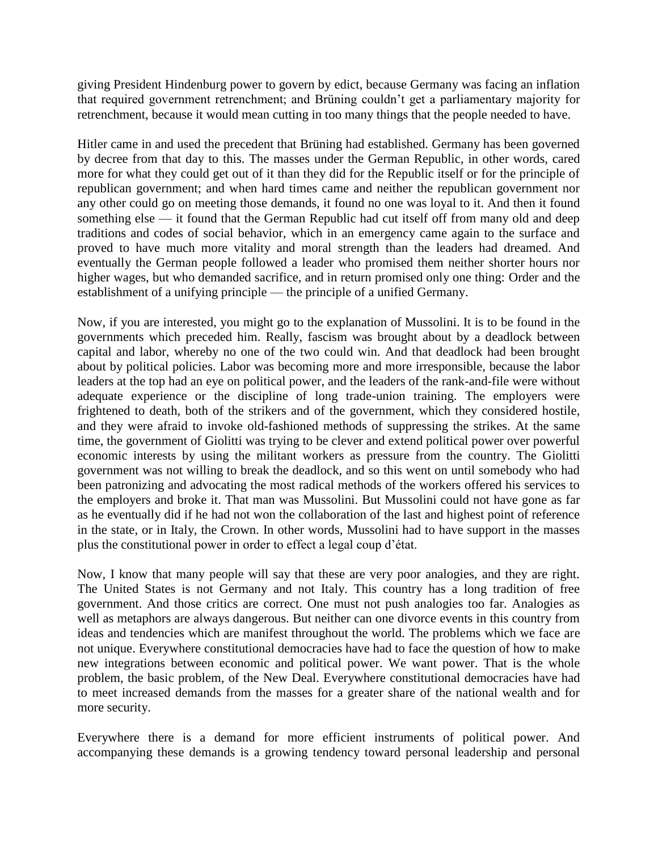giving President Hindenburg power to govern by edict, because Germany was facing an inflation that required government retrenchment; and Brüning couldn't get a parliamentary majority for retrenchment, because it would mean cutting in too many things that the people needed to have.

Hitler came in and used the precedent that Brüning had established. Germany has been governed by decree from that day to this. The masses under the German Republic, in other words, cared more for what they could get out of it than they did for the Republic itself or for the principle of republican government; and when hard times came and neither the republican government nor any other could go on meeting those demands, it found no one was loyal to it. And then it found something else — it found that the German Republic had cut itself off from many old and deep traditions and codes of social behavior, which in an emergency came again to the surface and proved to have much more vitality and moral strength than the leaders had dreamed. And eventually the German people followed a leader who promised them neither shorter hours nor higher wages, but who demanded sacrifice, and in return promised only one thing: Order and the establishment of a unifying principle — the principle of a unified Germany.

Now, if you are interested, you might go to the explanation of Mussolini. It is to be found in the governments which preceded him. Really, fascism was brought about by a deadlock between capital and labor, whereby no one of the two could win. And that deadlock had been brought about by political policies. Labor was becoming more and more irresponsible, because the labor leaders at the top had an eye on political power, and the leaders of the rank-and-file were without adequate experience or the discipline of long trade-union training. The employers were frightened to death, both of the strikers and of the government, which they considered hostile, and they were afraid to invoke old-fashioned methods of suppressing the strikes. At the same time, the government of Giolitti was trying to be clever and extend political power over powerful economic interests by using the militant workers as pressure from the country. The Giolitti government was not willing to break the deadlock, and so this went on until somebody who had been patronizing and advocating the most radical methods of the workers offered his services to the employers and broke it. That man was Mussolini. But Mussolini could not have gone as far as he eventually did if he had not won the collaboration of the last and highest point of reference in the state, or in Italy, the Crown. In other words, Mussolini had to have support in the masses plus the constitutional power in order to effect a legal coup d'état.

Now, I know that many people will say that these are very poor analogies, and they are right. The United States is not Germany and not Italy. This country has a long tradition of free government. And those critics are correct. One must not push analogies too far. Analogies as well as metaphors are always dangerous. But neither can one divorce events in this country from ideas and tendencies which are manifest throughout the world. The problems which we face are not unique. Everywhere constitutional democracies have had to face the question of how to make new integrations between economic and political power. We want power. That is the whole problem, the basic problem, of the New Deal. Everywhere constitutional democracies have had to meet increased demands from the masses for a greater share of the national wealth and for more security.

Everywhere there is a demand for more efficient instruments of political power. And accompanying these demands is a growing tendency toward personal leadership and personal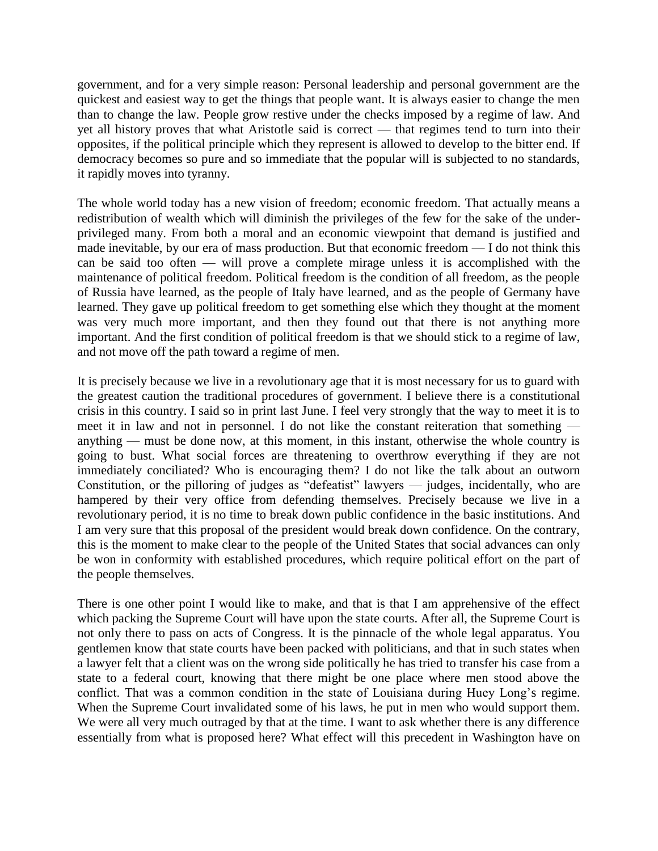government, and for a very simple reason: Personal leadership and personal government are the quickest and easiest way to get the things that people want. It is always easier to change the men than to change the law. People grow restive under the checks imposed by a regime of law. And yet all history proves that what Aristotle said is correct — that regimes tend to turn into their opposites, if the political principle which they represent is allowed to develop to the bitter end. If democracy becomes so pure and so immediate that the popular will is subjected to no standards, it rapidly moves into tyranny.

The whole world today has a new vision of freedom; economic freedom. That actually means a redistribution of wealth which will diminish the privileges of the few for the sake of the underprivileged many. From both a moral and an economic viewpoint that demand is justified and made inevitable, by our era of mass production. But that economic freedom — I do not think this can be said too often — will prove a complete mirage unless it is accomplished with the maintenance of political freedom. Political freedom is the condition of all freedom, as the people of Russia have learned, as the people of Italy have learned, and as the people of Germany have learned. They gave up political freedom to get something else which they thought at the moment was very much more important, and then they found out that there is not anything more important. And the first condition of political freedom is that we should stick to a regime of law, and not move off the path toward a regime of men.

It is precisely because we live in a revolutionary age that it is most necessary for us to guard with the greatest caution the traditional procedures of government. I believe there is a constitutional crisis in this country. I said so in print last June. I feel very strongly that the way to meet it is to meet it in law and not in personnel. I do not like the constant reiteration that something anything — must be done now, at this moment, in this instant, otherwise the whole country is going to bust. What social forces are threatening to overthrow everything if they are not immediately conciliated? Who is encouraging them? I do not like the talk about an outworn Constitution, or the pilloring of judges as "defeatist" lawyers — judges, incidentally, who are hampered by their very office from defending themselves. Precisely because we live in a revolutionary period, it is no time to break down public confidence in the basic institutions. And I am very sure that this proposal of the president would break down confidence. On the contrary, this is the moment to make clear to the people of the United States that social advances can only be won in conformity with established procedures, which require political effort on the part of the people themselves.

There is one other point I would like to make, and that is that I am apprehensive of the effect which packing the Supreme Court will have upon the state courts. After all, the Supreme Court is not only there to pass on acts of Congress. It is the pinnacle of the whole legal apparatus. You gentlemen know that state courts have been packed with politicians, and that in such states when a lawyer felt that a client was on the wrong side politically he has tried to transfer his case from a state to a federal court, knowing that there might be one place where men stood above the conflict. That was a common condition in the state of Louisiana during Huey Long's regime. When the Supreme Court invalidated some of his laws, he put in men who would support them. We were all very much outraged by that at the time. I want to ask whether there is any difference essentially from what is proposed here? What effect will this precedent in Washington have on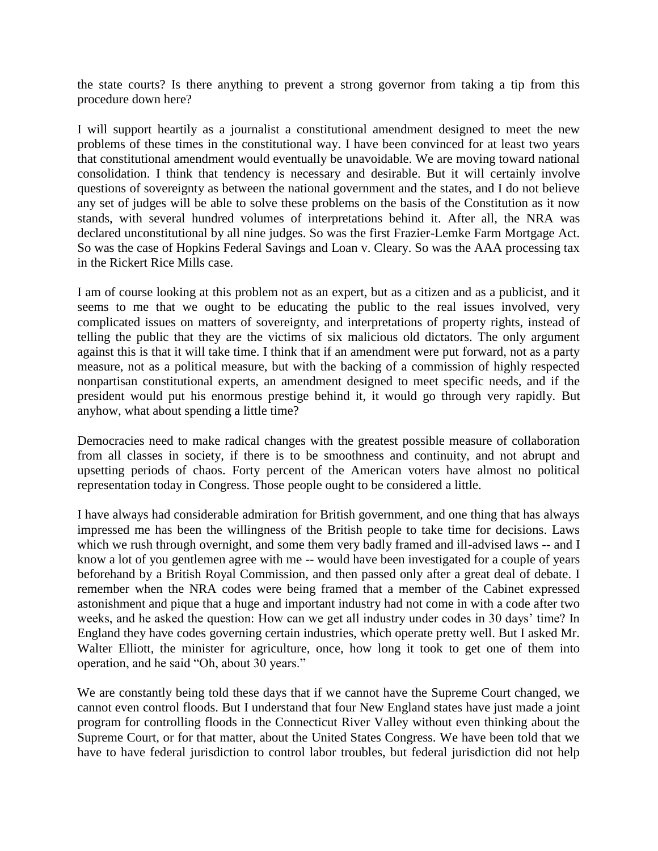the state courts? Is there anything to prevent a strong governor from taking a tip from this procedure down here?

I will support heartily as a journalist a constitutional amendment designed to meet the new problems of these times in the constitutional way. I have been convinced for at least two years that constitutional amendment would eventually be unavoidable. We are moving toward national consolidation. I think that tendency is necessary and desirable. But it will certainly involve questions of sovereignty as between the national government and the states, and I do not believe any set of judges will be able to solve these problems on the basis of the Constitution as it now stands, with several hundred volumes of interpretations behind it. After all, the NRA was declared unconstitutional by all nine judges. So was the first Frazier-Lemke Farm Mortgage Act. So was the case of Hopkins Federal Savings and Loan v. Cleary. So was the AAA processing tax in the Rickert Rice Mills case.

I am of course looking at this problem not as an expert, but as a citizen and as a publicist, and it seems to me that we ought to be educating the public to the real issues involved, very complicated issues on matters of sovereignty, and interpretations of property rights, instead of telling the public that they are the victims of six malicious old dictators. The only argument against this is that it will take time. I think that if an amendment were put forward, not as a party measure, not as a political measure, but with the backing of a commission of highly respected nonpartisan constitutional experts, an amendment designed to meet specific needs, and if the president would put his enormous prestige behind it, it would go through very rapidly. But anyhow, what about spending a little time?

Democracies need to make radical changes with the greatest possible measure of collaboration from all classes in society, if there is to be smoothness and continuity, and not abrupt and upsetting periods of chaos. Forty percent of the American voters have almost no political representation today in Congress. Those people ought to be considered a little.

I have always had considerable admiration for British government, and one thing that has always impressed me has been the willingness of the British people to take time for decisions. Laws which we rush through overnight, and some them very badly framed and ill-advised laws -- and I know a lot of you gentlemen agree with me -- would have been investigated for a couple of years beforehand by a British Royal Commission, and then passed only after a great deal of debate. I remember when the NRA codes were being framed that a member of the Cabinet expressed astonishment and pique that a huge and important industry had not come in with a code after two weeks, and he asked the question: How can we get all industry under codes in 30 days' time? In England they have codes governing certain industries, which operate pretty well. But I asked Mr. Walter Elliott, the minister for agriculture, once, how long it took to get one of them into operation, and he said "Oh, about 30 years."

We are constantly being told these days that if we cannot have the Supreme Court changed, we cannot even control floods. But I understand that four New England states have just made a joint program for controlling floods in the Connecticut River Valley without even thinking about the Supreme Court, or for that matter, about the United States Congress. We have been told that we have to have federal jurisdiction to control labor troubles, but federal jurisdiction did not help